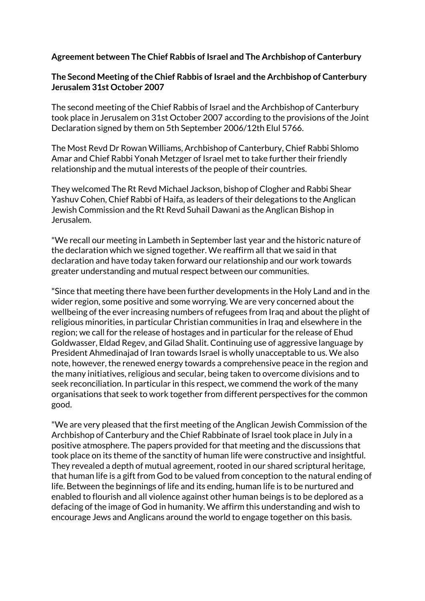## **Agreement between The Chief Rabbis of Israel and The Archbishop of Canterbury**

## **The Second Meeting of the Chief Rabbis of Israel and the Archbishop of Canterbury Jerusalem 31st October 2007**

The second meeting of the Chief Rabbis of Israel and the Archbishop of Canterbury took place in Jerusalem on 31st October 2007 according to the provisions of the Joint Declaration signed by them on 5th September 2006/12th Elul 5766.

The Most Revd Dr Rowan Williams, Archbishop of Canterbury, Chief Rabbi Shlomo Amar and Chief Rabbi Yonah Metzger of Israel met to take further their friendly relationship and the mutual interests of the people of their countries.

They welcomed The Rt Revd Michael Jackson, bishop of Clogher and Rabbi Shear Yashuv Cohen, Chief Rabbi of Haifa, as leaders of their delegations to the Anglican Jewish Commission and the Rt Revd Suhail Dawani as the Anglican Bishop in Jerusalem.

"We recall our meeting in Lambeth in September last year and the historic nature of the declaration which we signed together. We reaffirm all that we said in that declaration and have today taken forward our relationship and our work towards greater understanding and mutual respect between our communities.

"Since that meeting there have been further developments in the Holy Land and in the wider region, some positive and some worrying. We are very concerned about the wellbeing of the ever increasing numbers of refugees from Iraq and about the plight of religious minorities, in particular Christian communities in Iraq and elsewhere in the region; we call for the release of hostages and in particular for the release of Ehud Goldwasser, Eldad Regev, and Gilad Shalit. Continuing use of aggressive language by President Ahmedinajad of Iran towards Israel is wholly unacceptable to us. We also note, however, the renewed energy towards a comprehensive peace in the region and the many initiatives, religious and secular, being taken to overcome divisions and to seek reconciliation. In particular in this respect, we commend the work of the many organisations that seek to work together from different perspectives for the common good.

"We are very pleased that the first meeting of the Anglican Jewish Commission of the Archbishop of Canterbury and the Chief Rabbinate of Israel took place in July in a positive atmosphere. The papers provided for that meeting and the discussions that took place on its theme of the sanctity of human life were constructive and insightful. They revealed a depth of mutual agreement, rooted in our shared scriptural heritage, that human life is a gift from God to be valued from conception to the natural ending of life. Between the beginnings of life and its ending, human life is to be nurtured and enabled to flourish and all violence against other human beings is to be deplored as a defacing of the image of God in humanity. We affirm this understanding and wish to encourage Jews and Anglicans around the world to engage together on this basis.